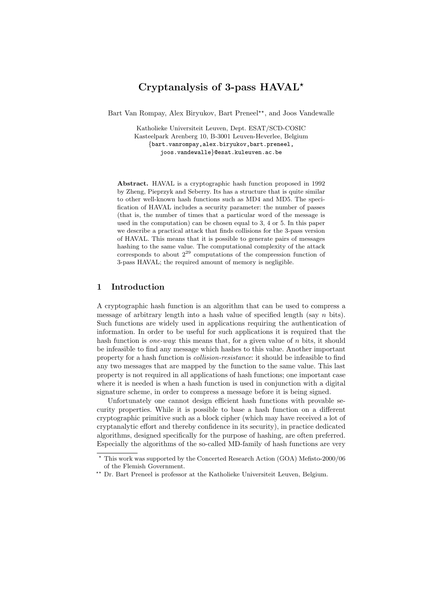# Cryptanalysis of 3-pass  $HAVAL^*$

Bart Van Rompay, Alex Biryukov, Bart Preneel\*\*, and Joos Vandewalle

Katholieke Universiteit Leuven, Dept. ESAT/SCD-COSIC Kasteelpark Arenberg 10, B-3001 Leuven-Heverlee, Belgium {bart.vanrompay,alex.biryukov,bart.preneel, joos.vandewalle}@esat.kuleuven.ac.be

Abstract. HAVAL is a cryptographic hash function proposed in 1992 by Zheng, Pieprzyk and Seberry. Its has a structure that is quite similar to other well-known hash functions such as MD4 and MD5. The specification of HAVAL includes a security parameter: the number of passes (that is, the number of times that a particular word of the message is used in the computation) can be chosen equal to 3, 4 or 5. In this paper we describe a practical attack that finds collisions for the 3-pass version of HAVAL. This means that it is possible to generate pairs of messages hashing to the same value. The computational complexity of the attack corresponds to about  $2^{29}$  computations of the compression function of 3-pass HAVAL; the required amount of memory is negligible.

## 1 Introduction

A cryptographic hash function is an algorithm that can be used to compress a message of arbitrary length into a hash value of specified length (say  $n$  bits). Such functions are widely used in applications requiring the authentication of information. In order to be useful for such applications it is required that the hash function is *one-way*: this means that, for a given value of n bits, it should be infeasible to find any message which hashes to this value. Another important property for a hash function is collision-resistance: it should be infeasible to find any two messages that are mapped by the function to the same value. This last property is not required in all applications of hash functions; one important case where it is needed is when a hash function is used in conjunction with a digital signature scheme, in order to compress a message before it is being signed.

Unfortunately one cannot design efficient hash functions with provable security properties. While it is possible to base a hash function on a different cryptographic primitive such as a block cipher (which may have received a lot of cryptanalytic effort and thereby confidence in its security), in practice dedicated algorithms, designed specifically for the purpose of hashing, are often preferred. Especially the algorithms of the so-called MD-family of hash functions are very

<sup>?</sup> This work was supported by the Concerted Research Action (GOA) Mefisto-2000/06 of the Flemish Government.

<sup>\*\*</sup> Dr. Bart Preneel is professor at the Katholieke Universiteit Leuven, Belgium.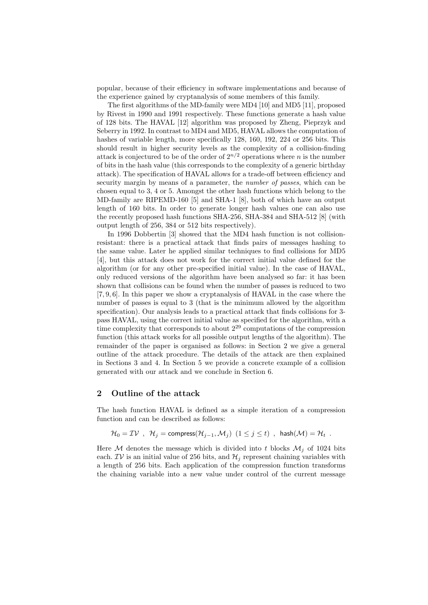popular, because of their efficiency in software implementations and because of the experience gained by cryptanalysis of some members of this family.

The first algorithms of the MD-family were MD4 [10] and MD5 [11], proposed by Rivest in 1990 and 1991 respectively. These functions generate a hash value of 128 bits. The HAVAL [12] algorithm was proposed by Zheng, Pieprzyk and Seberry in 1992. In contrast to MD4 and MD5, HAVAL allows the computation of hashes of variable length, more specifically 128, 160, 192, 224 or 256 bits. This should result in higher security levels as the complexity of a collision-finding attack is conjectured to be of the order of  $2^{n/2}$  operations where n is the number of bits in the hash value (this corresponds to the complexity of a generic birthday attack). The specification of HAVAL allows for a trade-off between efficiency and security margin by means of a parameter, the *number of passes*, which can be chosen equal to 3, 4 or 5. Amongst the other hash functions which belong to the MD-family are RIPEMD-160 [5] and SHA-1 [8], both of which have an output length of 160 bits. In order to generate longer hash values one can also use the recently proposed hash functions SHA-256, SHA-384 and SHA-512 [8] (with output length of 256, 384 or 512 bits respectively).

In 1996 Dobbertin [3] showed that the MD4 hash function is not collisionresistant: there is a practical attack that finds pairs of messages hashing to the same value. Later he applied similar techniques to find collisions for MD5 [4], but this attack does not work for the correct initial value defined for the algorithm (or for any other pre-specified initial value). In the case of HAVAL, only reduced versions of the algorithm have been analysed so far: it has been shown that collisions can be found when the number of passes is reduced to two [7, 9, 6]. In this paper we show a cryptanalysis of HAVAL in the case where the number of passes is equal to 3 (that is the minimum allowed by the algorithm specification). Our analysis leads to a practical attack that finds collisions for 3 pass HAVAL, using the correct initial value as specified for the algorithm, with a time complexity that corresponds to about  $2^{29}$  computations of the compression function (this attack works for all possible output lengths of the algorithm). The remainder of the paper is organised as follows: in Section 2 we give a general outline of the attack procedure. The details of the attack are then explained in Sections 3 and 4. In Section 5 we provide a concrete example of a collision generated with our attack and we conclude in Section 6.

## 2 Outline of the attack

The hash function HAVAL is defined as a simple iteration of a compression function and can be described as follows:

$$
\mathcal{H}_0 = \mathcal{IV} \ \ , \ \ \mathcal{H}_j = \text{compress}(\mathcal{H}_{j-1},\mathcal{M}_j) \ \ (1 \leq j \leq t) \ \ , \ \ \text{hash}(\mathcal{M}) = \mathcal{H}_t \ \ .
$$

Here M denotes the message which is divided into t blocks  $\mathcal{M}_j$  of 1024 bits each.  $IV$  is an initial value of 256 bits, and  $\mathcal{H}_i$  represent chaining variables with a length of 256 bits. Each application of the compression function transforms the chaining variable into a new value under control of the current message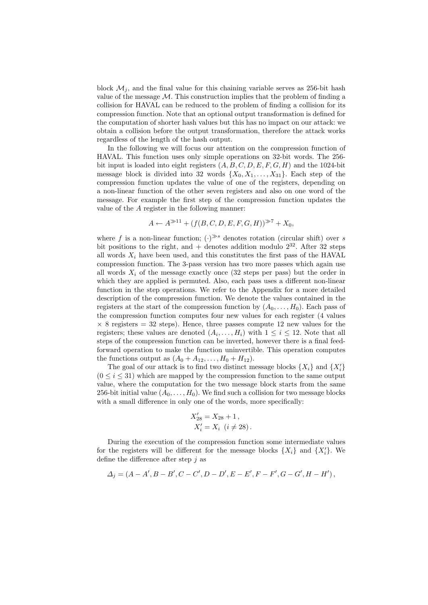block  $\mathcal{M}_i$ , and the final value for this chaining variable serves as 256-bit hash value of the message  $M$ . This construction implies that the problem of finding a collision for HAVAL can be reduced to the problem of finding a collision for its compression function. Note that an optional output transformation is defined for the computation of shorter hash values but this has no impact on our attack: we obtain a collision before the output transformation, therefore the attack works regardless of the length of the hash output.

In the following we will focus our attention on the compression function of HAVAL. This function uses only simple operations on 32-bit words. The 256 bit input is loaded into eight registers  $(A, B, C, D, E, F, G, H)$  and the 1024-bit message block is divided into 32 words  $\{X_0, X_1, \ldots, X_{31}\}$ . Each step of the compression function updates the value of one of the registers, depending on a non-linear function of the other seven registers and also on one word of the message. For example the first step of the compression function updates the value of the A register in the following manner:

$$
A \leftarrow A^{\gg 11} + (f(B, C, D, E, F, G, H))^{\gg 7} + X_0,
$$

where f is a non-linear function;  $\langle \cdot \rangle^{s}$  denotes rotation (circular shift) over s bit positions to the right, and  $+$  denotes addition modulo  $2^{32}$ . After 32 steps all words  $X_i$  have been used, and this constitutes the first pass of the HAVAL compression function. The 3-pass version has two more passes which again use all words  $X_i$  of the message exactly once (32 steps per pass) but the order in which they are applied is permuted. Also, each pass uses a different non-linear function in the step operations. We refer to the Appendix for a more detailed description of the compression function. We denote the values contained in the registers at the start of the compression function by  $(A_0, \ldots, H_0)$ . Each pass of the compression function computes four new values for each register (4 values  $\times$  8 registers = 32 steps). Hence, three passes compute 12 new values for the registers; these values are denoted  $(A_i, \ldots, H_i)$  with  $1 \leq i \leq 12$ . Note that all steps of the compression function can be inverted, however there is a final feedforward operation to make the function uninvertible. This operation computes the functions output as  $(A_0 + A_{12}, \ldots, H_0 + H_{12}).$ 

The goal of our attack is to find two distinct message blocks  $\{X_i\}$  and  $\{X_i'\}$  $(0 \le i \le 31)$  which are mapped by the compression function to the same output value, where the computation for the two message block starts from the same 256-bit initial value  $(A_0, \ldots, H_0)$ . We find such a collision for two message blocks with a small difference in only one of the words, more specifically:

$$
X'_{28} = X_{28} + 1,
$$
  

$$
X'_{i} = X_{i} \quad (i \neq 28).
$$

During the execution of the compression function some intermediate values for the registers will be different for the message blocks  $\{X_i\}$  and  $\{X'_i\}$ . We define the difference after step  $j$  as

$$
\Delta_j = (A - A', B - B', C - C', D - D', E - E', F - F', G - G', H - H'),
$$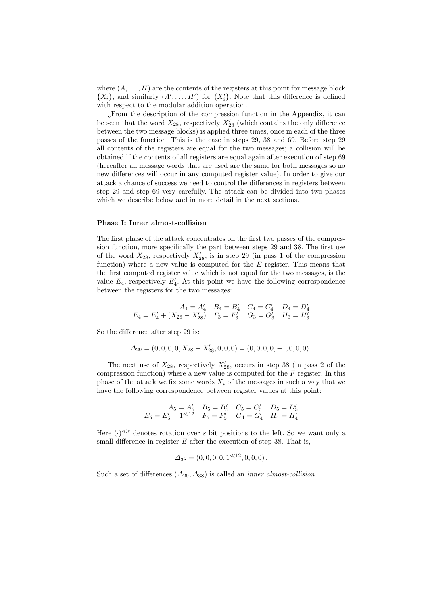where  $(A, \ldots, H)$  are the contents of the registers at this point for message block  $\{X_i\}$ , and similarly  $(A', \ldots, H')$  for  $\{X'_i\}$ . Note that this difference is defined with respect to the modular addition operation.

¿From the description of the compression function in the Appendix, it can be seen that the word  $X_{28}$ , respectively  $X'_{28}$  (which contains the only difference between the two message blocks) is applied three times, once in each of the three passes of the function. This is the case in steps 29, 38 and 69. Before step 29 all contents of the registers are equal for the two messages; a collision will be obtained if the contents of all registers are equal again after execution of step 69 (hereafter all message words that are used are the same for both messages so no new differences will occur in any computed register value). In order to give our attack a chance of success we need to control the differences in registers between step 29 and step 69 very carefully. The attack can be divided into two phases which we describe below and in more detail in the next sections.

### Phase I: Inner almost-collision

The first phase of the attack concentrates on the first two passes of the compression function, more specifically the part between steps 29 and 38. The first use of the word  $X_{28}$ , respectively  $X'_{28}$ , is in step 29 (in pass 1 of the compression function) where a new value is computed for the  $E$  register. This means that the first computed register value which is not equal for the two messages, is the value  $E_4$ , respectively  $E'_4$ . At this point we have the following correspondence between the registers for the two messages:

$$
\begin{array}{ccc}\nA_4 = A'_4 & B_4 = B'_4 & C_4 = C'_4 & D_4 = D'_4 \\
E_4 = E'_4 + (X_{28} - X'_{28}) & F_3 = F'_3 & G_3 = G'_3 & H_3 = H'_3\n\end{array}
$$

So the difference after step 29 is:

$$
\Delta_{29}=(0,0,0,0,X_{28}-X'_{28},0,0,0)=(0,0,0,0,-1,0,0,0).
$$

The next use of  $X_{28}$ , respectively  $X'_{28}$ , occurs in step 38 (in pass 2 of the compression function) where a new value is computed for the  $F$  register. In this phase of the attack we fix some words  $X_i$  of the messages in such a way that we have the following correspondence between register values at this point:

$$
A_5 = A'_5 \t B_5 = B'_5 \t C_5 = C'_5 \t D_5 = D'_5 E_5 = E'_5 + 1^{\ll 12} \t F_5 = F'_5 \t G_4 = G'_4 \t H_4 = H'_4
$$

Here  $(\cdot)^{\ll s}$  denotes rotation over s bit positions to the left. So we want only a small difference in register  $E$  after the execution of step 38. That is,

$$
\Delta_{38} = (0, 0, 0, 0, 1^{\ll 12}, 0, 0, 0).
$$

Such a set of differences  $(\Delta_{29}, \Delta_{38})$  is called an *inner almost-collision*.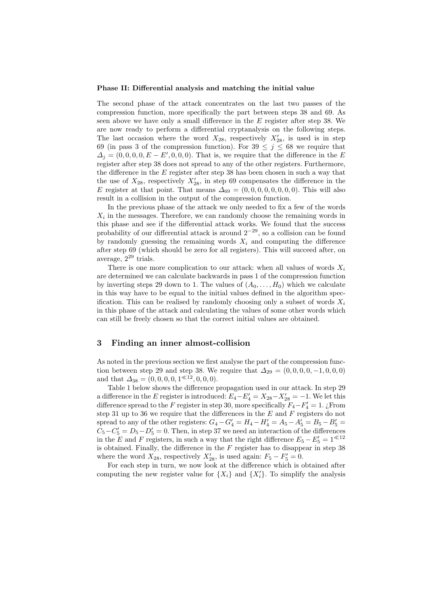#### Phase II: Differential analysis and matching the initial value

The second phase of the attack concentrates on the last two passes of the compression function, more specifically the part between steps 38 and 69. As seen above we have only a small difference in the  $E$  register after step 38. We are now ready to perform a differential cryptanalysis on the following steps. The last occasion where the word  $X_{28}$ , respectively  $X'_{28}$ , is used is in step 69 (in pass 3 of the compression function). For  $39 \leq j \leq 68$  we require that  $\Delta_j = (0, 0, 0, 0, E - E', 0, 0, 0).$  That is, we require that the difference in the E register after step 38 does not spread to any of the other registers. Furthermore, the difference in the  $E$  register after step 38 has been chosen in such a way that the use of  $X_{28}$ , respectively  $X'_{28}$ , in step 69 compensates the difference in the E register at that point. That means  $\Delta_{69} = (0,0,0,0,0,0,0,0)$ . This will also result in a collision in the output of the compression function.

In the previous phase of the attack we only needed to fix a few of the words  $X_i$  in the messages. Therefore, we can randomly choose the remaining words in this phase and see if the differential attack works. We found that the success probability of our differential attack is around  $2^{-29}$ , so a collision can be found by randomly guessing the remaining words  $X_i$  and computing the difference after step 69 (which should be zero for all registers). This will succeed after, on average, 2<sup>29</sup> trials.

There is one more complication to our attack: when all values of words  $X_i$ are determined we can calculate backwards in pass 1 of the compression function by inverting steps 29 down to 1. The values of  $(A_0, \ldots, H_0)$  which we calculate in this way have to be equal to the initial values defined in the algorithm specification. This can be realised by randomly choosing only a subset of words  $X_i$ in this phase of the attack and calculating the values of some other words which can still be freely chosen so that the correct initial values are obtained.

## 3 Finding an inner almost-collision

As noted in the previous section we first analyse the part of the compression function between step 29 and step 38. We require that  $\Delta_{29} = (0, 0, 0, 0, -1, 0, 0, 0)$ and that  $\Delta_{38} = (0, 0, 0, 0, 1^{\leq 12}, 0, 0, 0).$ 

Table 1 below shows the difference propagation used in our attack. In step 29 a difference in the E register is introduced:  $E_4 - E_4' = X_{28} - X_{28}' = -1$ . We let this difference spread to the F register in step 30, more specifically  $F_4-F_4' = 1$ . ¿From step 31 up to 36 we require that the differences in the  $E$  and  $F$  registers do not spread to any of the other registers:  $G_4 - G_4' = H_4 - H_4' = A_5 - A_5' = B_5 - B_5' =$  $C_5 - C_5' = D_5 - D_5' = 0$ . Then, in step 37 we need an interaction of the differences in the E and F registers, in such a way that the right difference  $E_5 - E_5' = 1^{\le 12}$ is obtained. Finally, the difference in the  $F$  register has to disappear in step 38 where the word  $X_{28}$ , respectively  $X'_{28}$ , is used again:  $F_5 - F'_5 = 0$ .

For each step in turn, we now look at the difference which is obtained after computing the new register value for  $\{X_i\}$  and  $\{X'_i\}$ . To simplify the analysis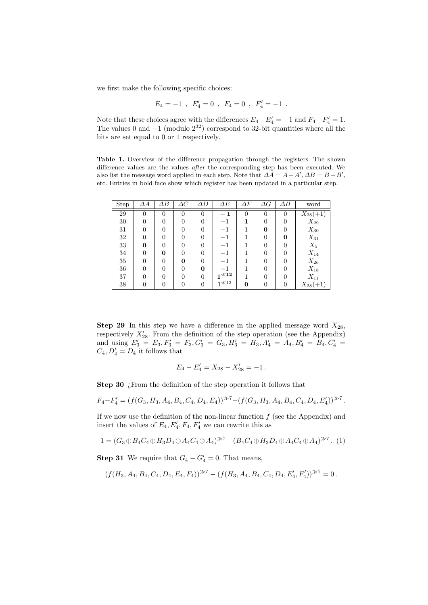we first make the following specific choices:

$$
E_4=-1 \;\; , \;\; E_4'=0 \;\; , \;\; F_4=0 \;\; , \;\; F_4'=-1 \;\; .
$$

Note that these choices agree with the differences  $E_4 - E_4' = -1$  and  $F_4 - F_4' = 1$ . The values 0 and  $-1$  (modulo  $2^{32}$ ) correspond to 32-bit quantities where all the bits are set equal to 0 or 1 respectively.

Table 1. Overview of the difference propagation through the registers. The shown difference values are the values after the corresponding step has been executed. We also list the message word applied in each step. Note that  $\Delta A = A - A', \Delta B = B - B'$ , etc. Entries in bold face show which register has been updated in a particular step.

| $\bar{S}$ tep | $\varDelta A$ | $\varDelta B$  | $\varDelta C$ | $\varDelta D$ | $\varDelta E$ | $\varDelta F$  | $\varDelta G$ | $\varDelta H$ | word         |
|---------------|---------------|----------------|---------------|---------------|---------------|----------------|---------------|---------------|--------------|
| 29            | $\theta$      | $\overline{0}$ | $\theta$      | $\Omega$      | $-1$          | $\overline{0}$ | $\theta$      | 0             | $X_{28}(+1)$ |
| 30            | 0             | 0              | $\Omega$      | 0             | $-1$          | 1              | 0             |               | $X_{29}$     |
| 31            | $\Omega$      | 0              | $\Omega$      |               | $-1$          |                | 0             |               | $X_{30}$     |
| 32            | $\theta$      | 0              | $\Omega$      |               | $-1$          |                | $\theta$      |               | $X_{31}$     |
| 33            | 0             | 0              | $\Omega$      |               | $-1$          |                | $\Omega$      |               | $X_5$        |
| 34            | $\theta$      | 0              | $\Omega$      |               | $-1$          |                | $\Omega$      |               | $X_{14}$     |
| 35            | $\theta$      | $\overline{0}$ | 0             |               | $-1$          |                | $\Omega$      |               | $X_{26}$     |
| 36            | $\Omega$      | $\Omega$       | $\Omega$      | 0             | $-1$          |                | $\Omega$      |               | $X_{18}$     |
| 37            | 0             | $\Omega$       | $\Omega$      | 0             | $1^{\ll 12}$  |                | $\Omega$      |               | $X_{11}$     |
| 38            | 0             | 0              |               |               | $1^{\ll 12}$  | 0              | 0             |               | $X_{28}(+1)$ |

**Step 29** In this step we have a difference in the applied message word  $X_{28}$ , respectively  $X'_{28}$ . From the definition of the step operation (see the Appendix) and using  $E'_3 = E_3, F'_3 = F_3, G'_3 = G_3, H'_3 = H_3, A'_4 = A_4, B'_4 = B_4, C'_4 = A_4$  $C_4, D'_4 = D_4$  it follows that

$$
E_4 - E_4' = X_{28} - X_{28}' = -1.
$$

Step 30 ¿From the definition of the step operation it follows that

$$
F_4-F_4'=(f(G_3,H_3,A_4,B_4,C_4,D_4,E_4))^{\gg 7}-(f(G_3,H_3,A_4,B_4,C_4,D_4,E_4'))^{\gg 7}.
$$

If we now use the definition of the non-linear function  $f$  (see the Appendix) and insert the values of  $E_4, E'_4, F_4, F'_4$  we can rewrite this as

$$
1 = (G_3 \oplus B_4 C_4 \oplus H_3 D_4 \oplus A_4 C_4 \oplus A_4)^{\gg 7} - (B_4 C_4 \oplus H_3 D_4 \oplus A_4 C_4 \oplus A_4)^{\gg 7}.
$$
 (1)

**Step 31** We require that  $G_4 - G'_4 = 0$ . That means,

$$
(f(H_3, A_4, B_4, C_4, D_4, E_4, F_4))^{*7} - (f(H_3, A_4, B_4, C_4, D_4, E'_4, F'_4))^{*7} = 0.
$$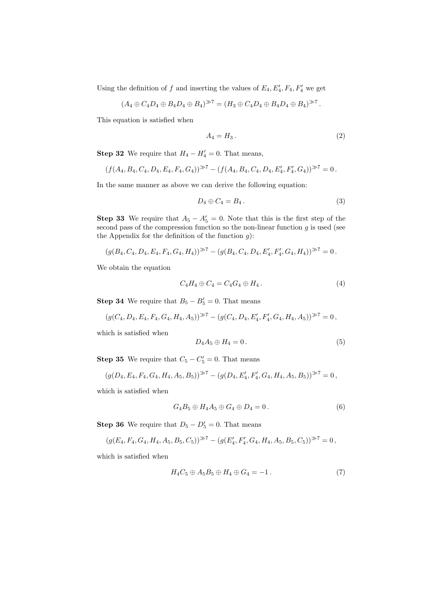Using the definition of f and inserting the values of  $E_4, E'_4, F_4, F'_4$  we get

$$
(A_4 \oplus C_4 D_4 \oplus B_4 D_4 \oplus B_4)^{\gg 7} = (H_3 \oplus C_4 D_4 \oplus B_4 D_4 \oplus B_4)^{\gg 7}.
$$

This equation is satisfied when

$$
A_4 = H_3. \tag{2}
$$

**Step 32** We require that  $H_4 - H_4' = 0$ . That means,

$$
(f(A_4, B_4, C_4, D_4, E_4, F_4, G_4))^{*7} - (f(A_4, B_4, C_4, D_4, E'_4, F'_4, G_4))^{*7} = 0.
$$

In the same manner as above we can derive the following equation:

$$
D_4 \oplus C_4 = B_4. \tag{3}
$$

**Step 33** We require that  $A_5 - A'_5 = 0$ . Note that this is the first step of the second pass of the compression function so the non-linear function  $g$  is used (see the Appendix for the definition of the function  $g$ ):

$$
(g(B_4, C_4, D_4, E_4, F_4, G_4, H_4))^{*7} - (g(B_4, C_4, D_4, E'_4, F'_4, G_4, H_4))^{*7} = 0.
$$

We obtain the equation

$$
C_4H_4 \oplus C_4 = C_4G_4 \oplus H_4. \tag{4}
$$

**Step 34** We require that  $B_5 - B'_5 = 0$ . That means

$$
(g(C_4, D_4, E_4, F_4, G_4, H_4, A_5))^{T} - (g(C_4, D_4, E'_4, F'_4, G_4, H_4, A_5))^{T} = 0,
$$

which is satisfied when

$$
D_4A_5 \oplus H_4 = 0. \tag{5}
$$

**Step 35** We require that  $C_5 - C'_5 = 0$ . That means

$$
(g(D_4, E_4, F_4, G_4, H_4, A_5, B_5))^{*\!\geq\!7} - (g(D_4, E_4', F_4', G_4, H_4, A_5, B_5))^{*\!\geq\!7} = 0,
$$

which is satisfied when

$$
G_4B_5 \oplus H_4A_5 \oplus G_4 \oplus D_4 = 0.
$$
 (6)

**Step 36** We require that  $D_5 - D'_5 = 0$ . That means

$$
(g(E_4, F_4, G_4, H_4, A_5, B_5, C_5))^{*\!\geq\!7} - (g(E'_4, F'_4, G_4, H_4, A_5, B_5, C_5))^{*\!\geq\!7} = 0,
$$

which is satisfied when

$$
H_4C_5 \oplus A_5B_5 \oplus H_4 \oplus G_4 = -1. \tag{7}
$$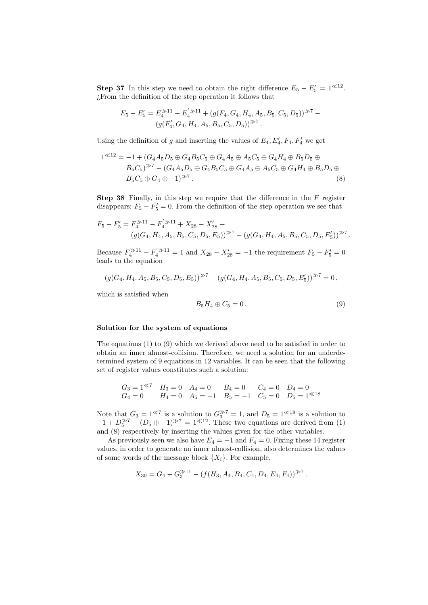**Step 37** In this step we need to obtain the right difference  $E_5 - E_5' = 1^{\le 12}$ . ¿From the definition of the step operation it follows that

$$
E_5 - E_5' = E_4^{\geq 11} - E_4'^{\geq 11} + (g(F_4, G_4, H_4, A_5, B_5, C_5, D_5))^{\geq 7} - (g(F_4', G_4, H_4, A_5, B_5, C_5, D_5))^{\geq 7}.
$$

Using the definition of g and inserting the values of  $E_4, E'_4, F_4, F'_4$  we get

$$
1^{\ll 12} = -1 + (G_4 A_5 D_5 \oplus G_4 B_5 C_5 \oplus G_4 A_5 \oplus A_5 C_5 \oplus G_4 H_4 \oplus B_5 D_5 \oplus B_5 C_5)^{\gg 7} - (G_4 A_5 D_5 \oplus G_4 B_5 C_5 \oplus G_4 A_5 \oplus A_5 C_5 \oplus G_4 H_4 \oplus B_5 D_5 \oplus B_5 C_5 \oplus G_4 \oplus -1)^{\gg 7}.
$$
\n(8)

**Step 38** Finally, in this step we require that the difference in the  $F$  register disappears:  $F_5 - F_5' = 0$ . From the definition of the step operation we see that

$$
F_5 - F_5' = F_4^{\geqslant 11} - F_4^{'\geqslant 11} + X_{28} - X_{28}' +
$$
  

$$
(g(G_4, H_4, A_5, B_5, C_5, D_5, E_5))^{\geqslant 7} - (g(G_4, H_4, A_5, B_5, C_5, D_5, E_5'))^{\geqslant 7}.
$$

Because  $F_4^{\gg 11} - F_4^{'\gg 11} = 1$  and  $X_{28} - X_{28}' = -1$  the requirement  $F_5 - F_5' = 0$ leads to the equation

$$
(g(G_4, H_4, A_5, B_5, C_5, D_5, E_5))^{*\!\geq\!\geq\!\geq\!\sim} - (g(G_4, H_4, A_5, B_5, C_5, D_5, E_5'))^{*\!\geq\!\geq\!\geq\!\sim} = 0,
$$

which is satisfied when

$$
B_5H_4 \oplus C_5 = 0. \tag{9}
$$

### Solution for the system of equations

The equations (1) to (9) which we derived above need to be satisfied in order to obtain an inner almost-collision. Therefore, we need a solution for an underdetermined system of 9 equations in 12 variables. It can be seen that the following set of register values constitutes such a solution:

$$
G_3 = 1^{\ll 7}
$$
  $H_3 = 0$   $A_4 = 0$   $B_4 = 0$   $C_4 = 0$   $D_4 = 0$   
\n $G_4 = 0$   $H_4 = 0$   $A_5 = -1$   $B_5 = -1$   $C_5 = 0$   $D_5 = 1^{\ll 18}$ 

Note that  $G_3 = 1^{\leq 7}$  is a solution to  $G_3^{\gg 7} = 1$ , and  $D_5 = 1^{\leq 18}$  is a solution to  $-1 + D_5^{\geq 7} - (D_5 \oplus -1)^{\geq 7} = 1^{\leq 12}$ . These two equations are derived from (1) and (8) respectively by inserting the values given for the other variables.

As previously seen we also have  $E_4 = -1$  and  $F_4 = 0$ . Fixing these 14 register values, in order to generate an inner almost-collision, also determines the values of some words of the message block  $\{X_i\}$ . For example,

$$
X_{30} = G_4 - G_3^{\geq 11} - (f(H_3, A_4, B_4, C_4, D_4, E_4, F_4))^{\geq 7}.
$$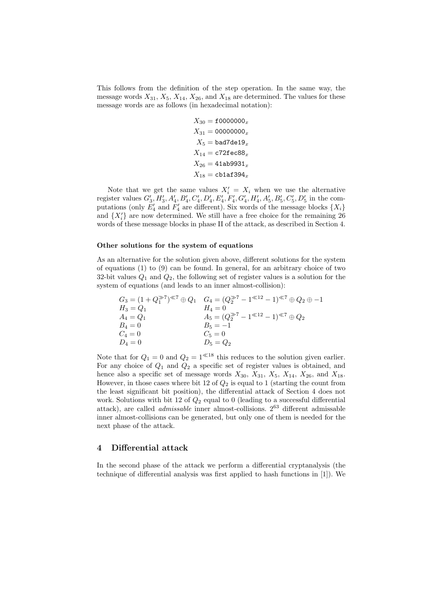This follows from the definition of the step operation. In the same way, the message words  $X_{31}$ ,  $X_5$ ,  $X_{14}$ ,  $X_{26}$ , and  $X_{18}$  are determined. The values for these message words are as follows (in hexadecimal notation):

> $X_{30} =$  f0000000 $_{x}$  $X_{31} = 00000000_x$  $X_5 = \text{bad7de19}_x$  $X_{14} = c72$ fec88 $_{x}$  $X_{26} = 41$ ab9931<sub>x</sub>  $X_{18} =$ cb1af394 $_x$

Note that we get the same values  $X_i' = X_i$  when we use the alternative register values  $G'_3$ ,  $H'_3$ ,  $A'_4$ ,  $B'_4$ ,  $C'_4$ ,  $D'_4$ ,  $E'_4$ ,  $F'_4$ ,  $G'_4$ ,  $H'_4$ ,  $A'_5$ ,  $B'_5$ ,  $C'_5$ ,  $D'_5$  in the computations (only  $E_4'$  and  $F_4'$  are different). Six words of the message blocks  $\{X_i\}$ and  $\{X_i'\}$  are now determined. We still have a free choice for the remaining 26 words of these message blocks in phase II of the attack, as described in Section 4.

#### Other solutions for the system of equations

As an alternative for the solution given above, different solutions for the system of equations (1) to (9) can be found. In general, for an arbitrary choice of two 32-bit values  $Q_1$  and  $Q_2$ , the following set of register values is a solution for the system of equations (and leads to an inner almost-collision):

$$
G_3 = (1 + Q_1^{\gg 7})^{\ll 7} \oplus Q_1 \quad G_4 = (Q_2^{\gg 7} - 1^{\ll 12} - 1)^{\ll 7} \oplus Q_2 \oplus -1
$$
  
\n
$$
H_3 = Q_1 \qquad H_4 = 0
$$
  
\n
$$
A_4 = Q_1 \qquad A_5 = (Q_2^{\gg 7} - 1^{\ll 12} - 1)^{\ll 7} \oplus Q_2
$$
  
\n
$$
B_4 = 0 \qquad B_5 = -1
$$
  
\n
$$
C_4 = 0 \qquad C_5 = 0
$$
  
\n
$$
D_4 = 0 \qquad D_5 = Q_2
$$

Note that for  $Q_1 = 0$  and  $Q_2 = 1^{\le 18}$  this reduces to the solution given earlier. For any choice of  $Q_1$  and  $Q_2$  a specific set of register values is obtained, and hence also a specific set of message words  $X_{30}$ ,  $X_{31}$ ,  $X_5$ ,  $X_{14}$ ,  $X_{26}$ , and  $X_{18}$ . However, in those cases where bit 12 of  $Q_2$  is equal to 1 (starting the count from the least significant bit position), the differential attack of Section 4 does not work. Solutions with bit 12 of  $Q_2$  equal to 0 (leading to a successful differential attack), are called admissable inner almost-collisions. 2<sup>63</sup> different admissable inner almost-collisions can be generated, but only one of them is needed for the next phase of the attack.

## 4 Differential attack

In the second phase of the attack we perform a differential cryptanalysis (the technique of differential analysis was first applied to hash functions in [1]). We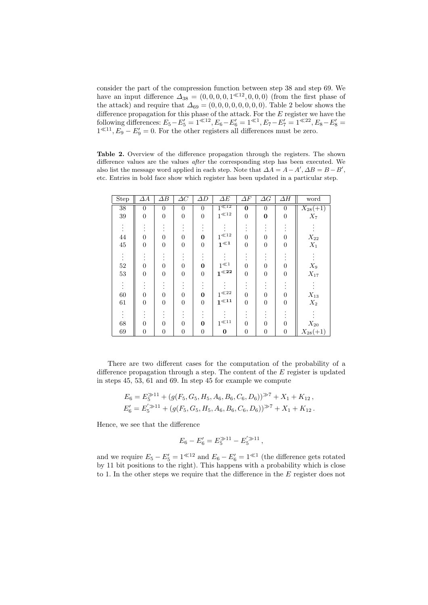consider the part of the compression function between step 38 and step 69. We have an input difference  $\Delta_{38} = (0,0,0,0,1^{\leq 12},0,0,0)$  (from the first phase of the attack) and require that  $\Delta_{69} = (0, 0, 0, 0, 0, 0, 0, 0)$ . Table 2 below shows the difference propagation for this phase of the attack. For the  $E$  register we have the following differences:  $E_5 - E_5' = 1^{\ll 12}$ ,  $E_6 - E_6' = 1^{\ll 1}$ ,  $E_7 - E_7' = 1^{\ll 22}$ ,  $E_8 - E_8' =$  $1^{\leq 11}$ ,  $E_9 - E'_9 = 0$ . For the other registers all differences must be zero.

Table 2. Overview of the difference propagation through the registers. The shown difference values are the values after the corresponding step has been executed. We also list the message word applied in each step. Note that  $\Delta A = A - A', \Delta B = B - B'$ , etc. Entries in bold face show which register has been updated in a particular step.

| Step            | $\Delta A$     | $\Delta B$       | $\varDelta C$    | $\Delta D$       | $\Delta E$              | $\Delta F$       | $\varDelta G$    | $\Delta H$     | word               |
|-----------------|----------------|------------------|------------------|------------------|-------------------------|------------------|------------------|----------------|--------------------|
| $\overline{38}$ | $\overline{0}$ | $\overline{0}$   | $\overline{0}$   | $\boldsymbol{0}$ | $\overline{1^{\ll 12}}$ | $\bf{0}$         | $\overline{0}$   | $\overline{0}$ | $X_{28}(+1)$       |
| $39\,$          | $\overline{0}$ | $\boldsymbol{0}$ | $\overline{0}$   | $\overline{0}$   | $1^{\ll 12}$            | $\boldsymbol{0}$ | $\bf{0}$         | $\overline{0}$ | $X_7$              |
| $\vdots$        |                |                  |                  |                  |                         |                  |                  |                |                    |
| 44              | $\overline{0}$ | $\overline{0}$   | $\overline{0}$   | $\mathbf{0}$     | $1^{\ll 12}$            | $\overline{0}$   | $\overline{0}$   | $\overline{0}$ | $\mathcal{X}_{22}$ |
| $45\,$          | $\overline{0}$ | $\overline{0}$   | $\overline{0}$   | $\theta$         | $1^{\ll 1}$             | $\overline{0}$   | $\overline{0}$   | $\overline{0}$ | $\mathcal{X}_1$    |
|                 |                |                  |                  |                  |                         |                  |                  |                |                    |
| $52\,$          | $\overline{0}$ | $\boldsymbol{0}$ | $\overline{0}$   | $\bf{0}$         | $1^{\ll 1}$             | $\boldsymbol{0}$ | $\boldsymbol{0}$ | $\overline{0}$ | $X_9$              |
| $53\,$          | $\overline{0}$ | $\overline{0}$   | $\overline{0}$   | $\overline{0}$   | $1^{\ll 22}$            | $\overline{0}$   | $\boldsymbol{0}$ | $\overline{0}$ | $X_{17}$           |
|                 |                |                  |                  |                  |                         |                  |                  |                |                    |
| 60              | $\overline{0}$ | $\boldsymbol{0}$ | $\overline{0}$   | $\bf{0}$         | $1^{\ll 22}$            | $\overline{0}$   | $\overline{0}$   | $\overline{0}$ | $X_{13}$           |
| 61              | $\theta$       | $\overline{0}$   | $\overline{0}$   | $\overline{0}$   | $1^{\ll 11}$            | $\overline{0}$   | $\overline{0}$   | $\overline{0}$ | $X_2$              |
|                 |                |                  |                  |                  |                         |                  |                  |                |                    |
| 68              | $\overline{0}$ | $\boldsymbol{0}$ | $\overline{0}$   | $\bf{0}$         | $1^{\ll 11}$            | $\overline{0}$   | $\theta$         | $\overline{0}$ | $\mathcal{X}_{20}$ |
| 69              | $\overline{0}$ | $\boldsymbol{0}$ | $\boldsymbol{0}$ | $\boldsymbol{0}$ | $\bf{0}$                | $\boldsymbol{0}$ | $\boldsymbol{0}$ | $\overline{0}$ | $X_{28}(+1)$       |

There are two different cases for the computation of the probability of a difference propagation through a step. The content of the  $E$  register is updated in steps 45, 53, 61 and 69. In step 45 for example we compute

$$
E_6 = E_5^{\geq 11} + (g(F_5, G_5, H_5, A_6, B_6, C_6, D_6))^{\geq 7} + X_1 + K_{12},
$$
  

$$
E'_6 = E'_5^{\geq 11} + (g(F_5, G_5, H_5, A_6, B_6, C_6, D_6))^{\geq 7} + X_1 + K_{12}.
$$

Hence, we see that the difference

$$
E_6 - E_6' = E_5^{\gg 11} - E_5'^{\gg 11},
$$

and we require  $E_5 - E_5' = 1^{\ll 12}$  and  $E_6 - E_6' = 1^{\ll 1}$  (the difference gets rotated by 11 bit positions to the right). This happens with a probability which is close to 1. In the other steps we require that the difference in the E register does not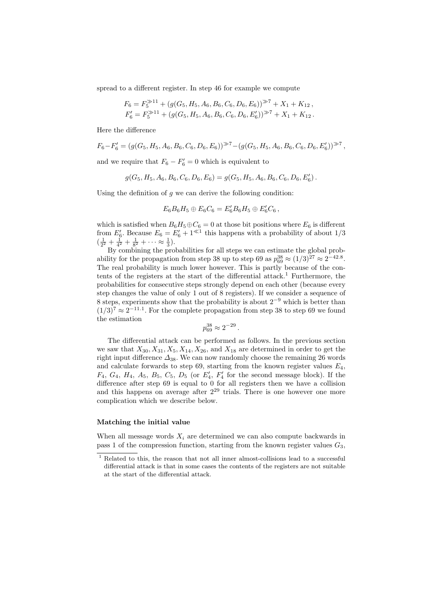spread to a different register. In step 46 for example we compute

$$
F_6 = F_5^{\geq 11} + (g(G_5, H_5, A_6, B_6, C_6, D_6, E_6))^{\geq 7} + X_1 + K_{12},
$$
  
\n
$$
F_6' = F_5^{\geq 11} + (g(G_5, H_5, A_6, B_6, C_6, D_6, E_6'))^{\geq 7} + X_1 + K_{12}.
$$

Here the difference

$$
F_6-F'_6=(g(G_5,H_5,A_6,B_6,C_6,D_6,E_6))^{\gg7}-(g(G_5,H_5,A_6,B_6,C_6,D_6,E'_6))^{\gg7},
$$

and we require that  $F_6 - F'_6 = 0$  which is equivalent to

$$
g(G_5, H_5, A_6, B_6, C_6, D_6, E_6) = g(G_5, H_5, A_6, B_6, C_6, D_6, E'_6).
$$

Using the definition of  $q$  we can derive the following condition:

$$
E_6B_6H_5\oplus E_6C_6=E'_6B_6H_5\oplus E'_6C_6,
$$

which is satisfied when  $B_6H_5\oplus C_6=0$  at those bit positions where  $E_6$  is different from  $E'_6$ . Because  $E_6 = E'_6 + 1^{\leq 1}$  this happens with a probability of about  $1/3$  $\left(\frac{1}{2^2} + \frac{1}{4^2} + \frac{1}{8^2} + \cdots \approx \frac{1}{3}\right).$ 

By combining the probabilities for all steps we can estimate the global probability for the propagation from step 38 up to step 69 as  $p_{69}^{38} \approx (1/3)^{27} \approx 2^{-42.8}$ . The real probability is much lower however. This is partly because of the contents of the registers at the start of the differential attack.<sup>1</sup> Furthermore, the probabilities for consecutive steps strongly depend on each other (because every step changes the value of only 1 out of 8 registers). If we consider a sequence of 8 steps, experiments show that the probability is about  $2^{-9}$  which is better than  $(1/3)^7 \approx 2^{-11.1}$ . For the complete propagation from step 38 to step 69 we found the estimation

$$
p_{69}^{38} \approx 2^{-29}.
$$

The differential attack can be performed as follows. In the previous section we saw that  $X_{30}, X_{31}, X_5, X_{14}, X_{26}$ , and  $X_{18}$  are determined in order to get the right input difference  $\Delta_{38}$ . We can now randomly choose the remaining 26 words and calculate forwards to step 69, starting from the known register values  $E_4$ ,  $F_4, G_4, H_4, A_5, B_5, C_5, D_5$  (or  $E'_4, F'_4$  for the second message block). If the difference after step 69 is equal to 0 for all registers then we have a collision and this happens on average after  $2^{29}$  trials. There is one however one more complication which we describe below.

## Matching the initial value

When all message words  $X_i$  are determined we can also compute backwards in pass 1 of the compression function, starting from the known register values  $G_3$ ,

<sup>&</sup>lt;sup>1</sup> Related to this, the reason that not all inner almost-collisions lead to a successful differential attack is that in some cases the contents of the registers are not suitable at the start of the differential attack.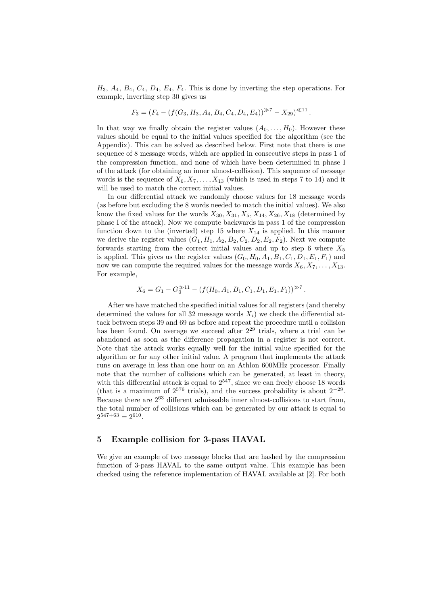$H_3$ ,  $A_4$ ,  $B_4$ ,  $C_4$ ,  $D_4$ ,  $E_4$ ,  $F_4$ . This is done by inverting the step operations. For example, inverting step 30 gives us

$$
F_3 = (F_4 - (f(G_3, H_3, A_4, B_4, C_4, D_4, E_4))^{\gg 7} - X_{29})^{\ll 11}.
$$

In that way we finally obtain the register values  $(A_0, \ldots, H_0)$ . However these values should be equal to the initial values specified for the algorithm (see the Appendix). This can be solved as described below. First note that there is one sequence of 8 message words, which are applied in consecutive steps in pass 1 of the compression function, and none of which have been determined in phase I of the attack (for obtaining an inner almost-collision). This sequence of message words is the sequence of  $X_6, X_7, \ldots, X_{13}$  (which is used in steps 7 to 14) and it will be used to match the correct initial values.

In our differential attack we randomly choose values for 18 message words (as before but excluding the 8 words needed to match the initial values). We also know the fixed values for the words  $X_{30}, X_{31}, X_5, X_{14}, X_{26}, X_{18}$  (determined by phase I of the attack). Now we compute backwards in pass 1 of the compression function down to the (inverted) step 15 where  $X_{14}$  is applied. In this manner we derive the register values  $(G_1, H_1, A_2, B_2, C_2, D_2, E_2, F_2)$ . Next we compute forwards starting from the correct initial values and up to step 6 where  $X_5$ is applied. This gives us the register values  $(G_0, H_0, A_1, B_1, C_1, D_1, E_1, F_1)$  and now we can compute the required values for the message words  $X_6, X_7, \ldots, X_{13}$ . For example,

$$
X_6 = G_1 - G_0^{\gg 11} - (f(H_0, A_1, B_1, C_1, D_1, E_1, F_1))^{\gg 7}.
$$

After we have matched the specified initial values for all registers (and thereby determined the values for all 32 message words  $X_i$ ) we check the differential attack between steps 39 and 69 as before and repeat the procedure until a collision has been found. On average we succeed after  $2^{29}$  trials, where a trial can be abandoned as soon as the difference propagation in a register is not correct. Note that the attack works equally well for the initial value specified for the algorithm or for any other initial value. A program that implements the attack runs on average in less than one hour on an Athlon 600MHz processor. Finally note that the number of collisions which can be generated, at least in theory, with this differential attack is equal to  $2^{547}$ , since we can freely choose 18 words (that is a maximum of  $2^{576}$  trials), and the success probability is about  $2^{-29}$ . Because there are 2<sup>63</sup> different admissable inner almost-collisions to start from, the total number of collisions which can be generated by our attack is equal to  $2^{547+63} = 2^{610}.$ 

## 5 Example collision for 3-pass HAVAL

We give an example of two message blocks that are hashed by the compression function of 3-pass HAVAL to the same output value. This example has been checked using the reference implementation of HAVAL available at [2]. For both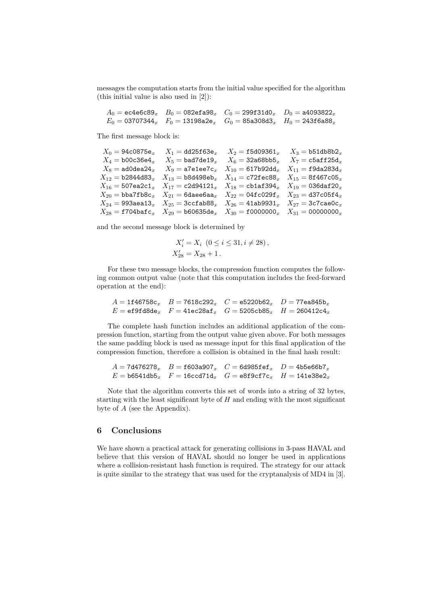messages the computation starts from the initial value specified for the algorithm (this initial value is also used in  $[2]$ ):

$$
\begin{array}{cccccc} A_0=\texttt{e}c4\texttt{e}6c89_x & B_0=082\texttt{e} \texttt{f} a98_x & C_0=299\texttt{f} 31\texttt{d} 0_x & D_0=\texttt{a} 4093822_x \\ E_0=03707344_x & F_0=13198 a2\texttt{e}_x & G_0=85 a308\texttt{d} 3_x & H_0=243\texttt{f} 6a88_x \end{array}
$$

The first message block is:

| $X_0 = 94$ c $0875$ e $_x$  |                                                                                                                                                         | $X_1 = dd25f63e_x$ $X_2 = f5d09361_x$ $X_3 = b51db8b2_x$                                         |  |
|-----------------------------|---------------------------------------------------------------------------------------------------------------------------------------------------------|--------------------------------------------------------------------------------------------------|--|
| $X_4 = \texttt{b00c36e4}_x$ |                                                                                                                                                         | $X_5 =$ bad7de19 $_x$ $X_6 =$ 32a68bb5 $_x$ $X_7 =$ c5aff25d $_x$                                |  |
| $X_8 = \texttt{ad0dea24}_x$ |                                                                                                                                                         | $X_9 =$ a7e1ee7c <sub>x</sub> $X_{10} = 617$ b92dd <sub>x</sub> $X_{11} =$ f9da283d <sub>x</sub> |  |
|                             | $X_{12} = b2844d83_x$ $X_{13} = b8d498eb_x$ $X_{14} = c72fec88_x$ $X_{15} = 8f467c05_x$                                                                 |                                                                                                  |  |
|                             | $X_{16} = 507$ ea2c1 $_x$ $X_{17} = c2d94121_x$ $X_{18} = cb1a1394_x$ $X_{19} = 036daf20_x$                                                             |                                                                                                  |  |
|                             | $X_{20} = \mathtt{bba}$ 7fb8c $_x$ $X_{21} = \mathtt{6}$ dae $\mathtt{6}$ aa $_x$ $X_{22} = \mathtt{0}$ 4fc029f $_x$ $X_{23} = \mathtt{d}$ 37c05f $4_x$ |                                                                                                  |  |
|                             | $X_{24} = 993$ aea13 $_x$ $X_{25} = 3$ c $x$ fab $88_x$ $X_{26} = 41$ ab $9931_x$ $X_{27} = 3$ c $7$ cae $0$ c $_x$                                     |                                                                                                  |  |
|                             | $X_{28} =$ f704bafc <sub>x</sub> $X_{29} =$ b60635de <sub>x</sub> $X_{30} =$ f0000000 <sub>x</sub> $X_{31} =$ 00000000 <sub>x</sub>                     |                                                                                                  |  |

and the second message block is determined by

$$
X'_i = X_i \ (0 \le i \le 31, i \ne 28),
$$
  

$$
X'_{28} = X_{28} + 1.
$$

For these two message blocks, the compression function computes the following common output value (note that this computation includes the feed-forward operation at the end):

$$
A = 1f46758c_x \quad B = 7618c292_x \quad C = e5220b62_x \quad D = 77e a845b_x E = e f9f d8de_x \quad F = 41e c28a f_x \quad G = 5205c b85_x \quad H = 260412c4_x
$$

The complete hash function includes an additional application of the compression function, starting from the output value given above. For both messages the same padding block is used as message input for this final application of the compression function, therefore a collision is obtained in the final hash result:

$$
\begin{array}{lllll} A=7\texttt{d}476278_x & B=\texttt{f}603\texttt{a}907_x & C=\texttt{6} \texttt{d}985\texttt{f}\, \texttt{e} f_x & D=4\texttt{b}5\texttt{e}66\texttt{b}7_x \\ E=\texttt{b}6541\texttt{d} \texttt{b}5_x & F=\texttt{16} \texttt{c}\texttt{c}d71\texttt{d}_x & G=\texttt{e}8\texttt{f}9\texttt{c} \texttt{f}7\texttt{c}_x & H=\texttt{14}1\texttt{e}38\texttt{e}2_x \end{array}
$$

Note that the algorithm converts this set of words into a string of 32 bytes. starting with the least significant byte of  $H$  and ending with the most significant byte of  $A$  (see the Appendix).

#### 6 Conclusions

We have shown a practical attack for generating collisions in 3-pass HAVAL and believe that this version of HAVAL should no longer be used in applications where a collision-resistant hash function is required. The strategy for our attack is quite similar to the strategy that was used for the cryptanalysis of MD4 in [3].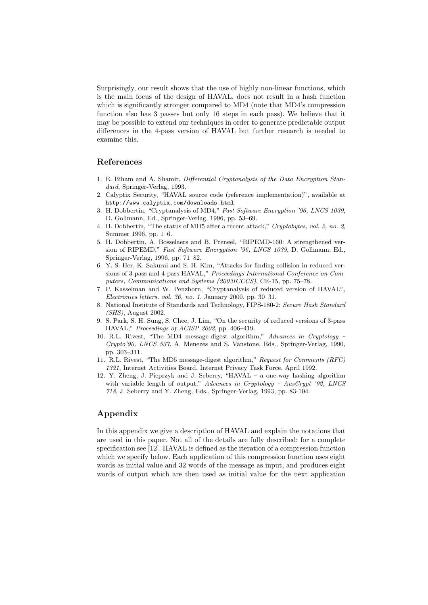Surprisingly, our result shows that the use of highly non-linear functions, which is the main focus of the design of HAVAL, does not result in a hash function which is significantly stronger compared to MD4 (note that MD4's compression function also has 3 passes but only 16 steps in each pass). We believe that it may be possible to extend our techniques in order to generate predictable output differences in the 4-pass version of HAVAL but further research is needed to examine this.

## References

- 1. E. Biham and A. Shamir, Differential Cryptanalysis of the Data Encryption Standard, Springer-Verlag, 1993.
- 2. Calyptix Security, "HAVAL source code (reference implementation)", available at http://www.calyptix.com/downloads.html
- 3. H. Dobbertin, "Cryptanalysis of MD4," Fast Software Encryption '96, LNCS 1039, D. Gollmann, Ed., Springer-Verlag, 1996, pp. 53–69.
- 4. H. Dobbertin, "The status of MD5 after a recent attack," Cryptobytes, vol. 2, no. 2, Summer 1996, pp. 1–6.
- 5. H. Dobbertin, A. Bosselaers and B. Preneel, "RIPEMD-160: A strengthened version of RIPEMD," Fast Software Encryption '96, LNCS 1039, D. Gollmann, Ed., Springer-Verlag, 1996, pp. 71–82.
- 6. Y.-S. Her, K. Sakurai and S.-H. Kim, "Attacks for finding collision in reduced versions of 3-pass and 4-pass HAVAL," Proceedings International Conference on Computers, Communications and Systems (2003ICCCS), CE-15, pp. 75–78.
- 7. P. Kasselman and W. Penzhorn, "Cryptanalysis of reduced version of HAVAL", Electronics letters, vol. 36, no. 1, January 2000, pp. 30–31.
- 8. National Institute of Standards and Technology, FIPS-180-2: Secure Hash Standard  $(SHS)$ , August 2002.
- 9. S. Park, S. H. Sung, S. Chee, J. Lim, "On the security of reduced versions of 3-pass HAVAL," Proceedings of ACISP 2002, pp. 406–419.
- 10. R.L. Rivest, "The MD4 message-digest algorithm," Advances in Cryptology Crypto'90, LNCS 537, A. Menezes and S. Vanstone, Eds., Springer-Verlag, 1990, pp. 303–311.
- 11. R.L. Rivest, "The MD5 message-digest algorithm," Request for Comments (RFC) 1321, Internet Activities Board, Internet Privacy Task Force, April 1992.
- 12. Y. Zheng, J. Pieprzyk and J. Seberry, "HAVAL a one-way hashing algorithm with variable length of output," Advances in Cryptology - AusCrypt '92, LNCS 718, J. Seberry and Y. Zheng, Eds., Springer-Verlag, 1993, pp. 83-104.

## Appendix

In this appendix we give a description of HAVAL and explain the notations that are used in this paper. Not all of the details are fully described: for a complete specification see [12]. HAVAL is defined as the iteration of a compression function which we specify below. Each application of this compression function uses eight words as initial value and 32 words of the message as input, and produces eight words of output which are then used as initial value for the next application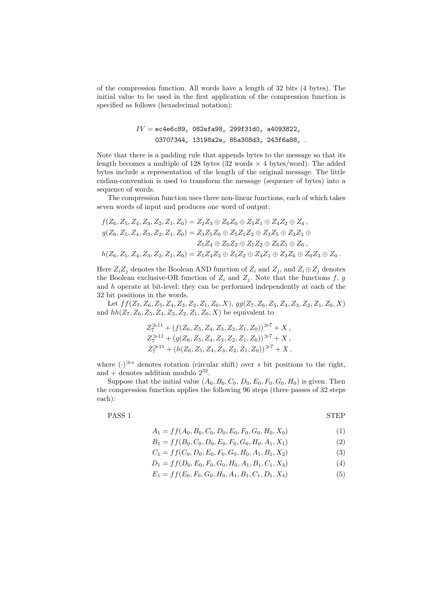of the compression function. All words have a length of 32 bits (4 bytes). The initial value to be used in the first application of the compression function is specified as follows (hexadecimal notation):

$$
IV = \mathtt{e}c4\mathtt{e}6c89_x \ 082\mathtt{e}4a98_x \ 299f31d0_x \ \mathtt{a}4093822_x \ \ 03707344_x \ 13198a2e_x \ 85a308d3_x \ 243f6a88_x \ .
$$

Note that there is a padding rule that appends bytes to the message so that its length becomes a multiple of 128 bytes (32 words  $\times$  4 bytes/word). The added bytes include a representation of the length of the original message. The little endian-convention is used to transform the message (sequence of bytes) into a sequence of words.

The compression function uses three non-linear functions, each of which takes seven words of input and produces one word of output:

$$
f(Z_6, Z_5, Z_4, Z_3, Z_2, Z_1, Z_0) = Z_2 Z_3 \oplus Z_6 Z_0 \oplus Z_5 Z_1 \oplus Z_4 Z_2 \oplus Z_4,
$$
  
\n
$$
g(Z_6, Z_5, Z_4, Z_3, Z_2, Z_1, Z_0) = Z_3 Z_5 Z_0 \oplus Z_5 Z_1 Z_2 \oplus Z_3 Z_5 \oplus Z_3 Z_1 \oplus Z_3 Z_5 \oplus Z_4 Z_4,
$$
  
\n
$$
Z_5 Z_4 \oplus Z_0 Z_2 \oplus Z_1 Z_2 \oplus Z_6 Z_5 \oplus Z_6,
$$
  
\n
$$
h(Z_6, Z_5, Z_4, Z_3, Z_2, Z_1, Z_0) = Z_5 Z_4 Z_3 \oplus Z_5 Z_2 \oplus Z_4 Z_1 \oplus Z_3 Z_6 \oplus Z_0 Z_3 \oplus Z_0.
$$

Here  $Z_iZ_j$  denotes the Boolean AND function of  $Z_i$  and  $Z_j$ , and  $Z_i \oplus Z_j$  denotes the Boolean exclusive-OR function of  $Z_i$  and  $Z_j$ . Note that the functions f, g and h operate at bit-level: they can be performed independently at each of the 32 bit positions in the words.

Let  $ff(Z_7, Z_6, Z_5, Z_4, Z_3, Z_2, Z_1, Z_0, X), gg(Z_7, Z_6, Z_5, Z_4, Z_3, Z_2, Z_1, Z_0, X)$ and  $hh(Z_7, Z_6, Z_5, Z_4, Z_3, Z_2, Z_1, Z_0, X)$  be equivalent to

$$
Z_7^{\gg 11} + (f(Z_6, Z_5, Z_4, Z_3, Z_2, Z_1, Z_0))^{\gg 7} + X,
$$
  
\n
$$
Z_7^{\gg 11} + (g(Z_6, Z_5, Z_4, Z_3, Z_2, Z_1, Z_0))^{\gg 7} + X,
$$
  
\n
$$
Z_7^{\gg 11} + (h(Z_6, Z_5, Z_4, Z_3, Z_2, Z_1, Z_0))^{\gg 7} + X,
$$

where  $\langle \cdot \rangle^{s}$  denotes rotation (circular shift) over s bit positions to the right, and  $+$  denotes addition modulo  $2^{32}$ .

Suppose that the initial value  $(A_0, B_0, C_0, D_0, E_0, F_0, G_0, H_0)$  is given. Then the compression function applies the following 96 steps (three passes of 32 steps each):

PASS 1 STEP

$$
A_1 = ff(A_0, B_0, C_0, D_0, E_0, F_0, G_0, H_0, X_0)
$$
\n
$$
B = \{f(B_0, C_0, D_0, E_0, E_0, G_0, H_0, X_0) \tag{2}
$$

$$
B_1 = f f(B_0, C_0, D_0, E_0, F_0, G_0, H_0, A_1, X_1)
$$
  
\n
$$
C = f f(C, D, E, E, C, H, A, B, Y)
$$
 (2)

$$
C_1 = f f(C_0, D_0, E_0, F_0, G_0, H_0, A_1, B_1, X_2)
$$
  

$$
D = f f(D) \quad F \quad F \quad C \quad H \quad A \quad P \quad C \quad V \tag{4}
$$

$$
D_1 = f f(D_0, E_0, F_0, G_0, H_0, A_1, B_1, C_1, A_3)
$$
\n<sup>(4)</sup>

$$
E_1 = ff(E_0, F_0, G_0, H_0, A_1, B_1, C_1, D_1, X_4)
$$
\n<sup>(5)</sup>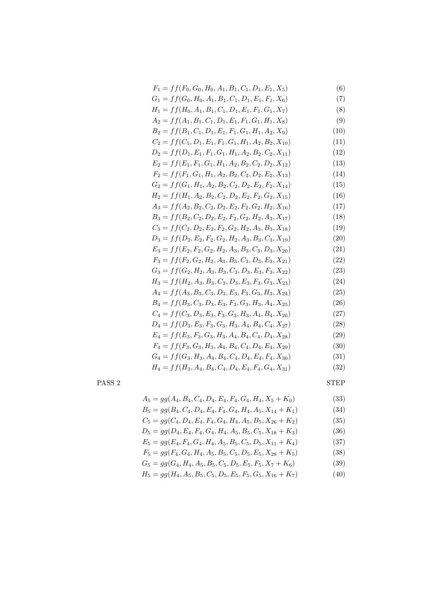$$
F_1 = ff(F_0, G_0, H_0, A_1, B_1, C_1, D_1, E_1, X_5)
$$
\n
$$
G_1 = ff(G_0, H_0, A_1, B_1, C_1, D_1, E_1, F_1, X_6)
$$
\n
$$
H_1 = ff(H_0, A_1, B_1, C_1, D_1, E_1, F_1, G_1, X_7)
$$
\n
$$
A_2 = ff(A_1, B_1, C_1, D_1, E_1, F_1, G_1, H_1, X_8)
$$
\n
$$
B_2 = ff(B_1, C_1, D_1, E_1, F_1, G_1, H_1, A_2, X_9)
$$
\n
$$
G_2 = ff(C_1, D_1, E_1, F_1, G_1, H_1, A_2, B_2, X_{10})
$$
\n
$$
G_2 = ff(D_1, E_1, F_1, G_1, H_1, A_2, B_2, C_2, X_{11})
$$
\n
$$
F_2 = ff(F_1, G_1, H_1, A_2, B_2, C_2, D_2, E_2, X_{12})
$$
\n
$$
F_2 = ff(F_1, G_1, H_1, A_2, B_2, C_2, D_2, E_2, X_{13})
$$
\n
$$
G_2 = ff(G_1, H_1, A_2, B_2, C_2, D_2, E_2, F_2, X_{14})
$$
\n
$$
G_2 = ff(H_1, A_2, B_2, C_2, D_2, E_2, F_2, X_{15})
$$
\n
$$
G_3 = ff(H_2, B_2, C_2, D_2, E_2, F_2, G_2, H_2, X_{16})
$$
\n
$$
B_3 = ff(B_2, C_2, D_2, E_2, F_2, G_2, H_2, A_3, B_3, C_3, X_{18})
$$
\n
$$
G_3 = ff(D_2, E_2, F_2, G_2, H_2, A_3, B_3, C_3, X_{19})
$$
\n
$$
B_3 = ff(D_2, E_2, F_2, G_2, H_2, A_3, B_3, C_3,
$$

PASS 2 STEP

$$
A_5 = gg(A_4, B_4, C_4, D_4, E_4, F_4, G_4, H_4, X_5 + K_0)
$$
(33)  
\n
$$
B_5 = gg(B_4, C_4, D_4, E_4, F_4, G_4, H_4, A_5, X_{14} + K_1)
$$
(34)  
\n
$$
C_5 = gg(C_4, D_4, E_4, F_4, G_4, H_4, A_5, B_5, X_{26} + K_2)
$$
(35)  
\n
$$
D_5 = gg(D_4, E_4, F_4, G_4, H_4, A_5, B_5, C_5, X_{18} + K_3)
$$
(36)  
\n
$$
E_5 = gg(E_4, F_4, G_4, H_4, A_5, B_5, C_5, D_5, X_{11} + K_4)
$$
(37)  
\n
$$
F_5 = gg(F_4, G_4, H_4, A_5, B_5, C_5, D_5, E_5, X_{28} + K_5)
$$
(38)  
\n
$$
G_5 = gg(G_4, H_4, A_5, B_5, C_5, D_5, E_5, F_5, X_7 + K_6)
$$
(39)  
\n
$$
H_5 = gg(H_4, A_5, B_5, C_5, D_5, E_5, F_5, G_5, X_{16} + K_7)
$$
(40)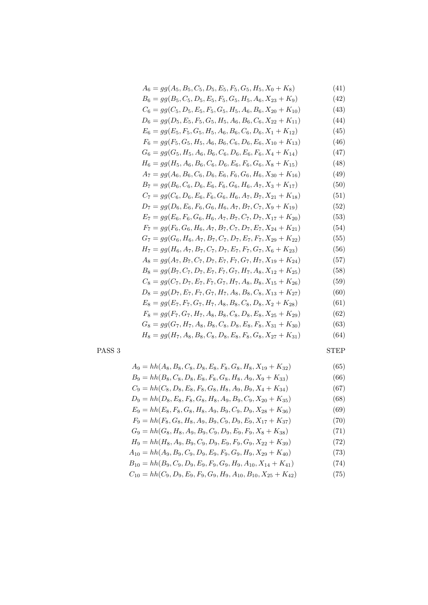$$
A_6 = gg(A_5, B_5, C_5, D_5, E_5, F_5, G_5, H_5, X_0 + K_8)
$$
\n
$$
B_6 = gg(B_5, C_5, D_5, E_5, F_5, G_5, H_5, A_6, X_{23} + K_9)
$$
\n
$$
C_6 = gg(C_5, D_5, E_5, F_5, G_5, H_5, A_6, B_6, X_{20} + K_{10})
$$
\n
$$
D_6 = gg(D_5, E_5, F_5, G_5, H_5, A_6, B_6, C_6, X_{22} + K_{11})
$$
\n
$$
E_6 = gg(E_5, F_5, G_5, H_5, A_6, B_6, C_6, D_6, X_1 + K_{12})
$$
\n
$$
F_6 = gg(F_5, G_5, H_5, A_6, B_6, C_6, D_6, E_6, X_{10} + K_{13})
$$
\n
$$
G_6 = gg(G_5, H_5, A_6, B_6, C_6, D_6, E_6, X_4 + K_{14})
$$
\n
$$
H_6 = gg(H_5, A_6, B_6, C_6, D_6, E_6, F_6, G_6, X_8 + K_{15})
$$
\n
$$
A_7 = gg(A_6, B_6, C_6, D_6, E_6, F_6, G_6, H_6, X_{30} + K_{16})
$$
\n
$$
B_7 = gg(B_6, C_6, D_6, E_6, F_6, G_6, H_6, A_7, X_3 + K_{17})
$$
\n
$$
C_7 = gg(C_6, D_6, E_6, F_6, G_6, H_6, A_7, B_7, X_{21} + K_{18})
$$
\n
$$
D_7 = gg(B_6, C_6, D_6, E_6, F_6, G_6, H_6, A_7, B_7, C_7, X_9 + K_{19})
$$
\n
$$
F_7 = gg(B_6, G_6, H_6, A_7, B_7, C_7, D_7, X_{17} + K_{20})
$$
\n
$$
F_7 = gg(B_6, G_6, H_6, A_7,
$$

PASS 3

$$
A_9 = hh(A_8, B_8, C_8, D_8, E_8, F_8, G_8, H_8, X_{19} + K_{32})
$$
\n
$$
B_9 = hh(B_8, C_8, D_8, E_8, F_8, G_8, H_8, A_9, X_9 + K_{33})
$$
\n(66)

$$
B_9 = nh(B_8, C_8, D_8, E_8, F_8, G_8, H_8, A_9, A_9 + A_{33})
$$
\n
$$
C_9 = hh(C_8, D_8, E_8, F_8, G_8, H_8, A_9, B_9, X_4 + K_{34})
$$
\n(67)

$$
D_9 = hh(D_8, E_8, F_8, G_8, H_8, A_9, B_9, C_9, X_{20} + K_{35})
$$
\n
$$
(67)
$$
\n
$$
D_9 = hh(D_8, E_8, F_8, G_8, H_8, A_9, B_9, C_9, X_{20} + K_{35})
$$
\n
$$
(68)
$$

$$
E_9 = hh(E_8, F_8, G_8, H_8, A_9, B_9, C_9, D_9, X_{28} + K_{36})
$$
\n(69)

$$
F_9 = hh(F_8, G_8, H_8, A_9, B_9, C_9, D_9, E_9, X_{17} + K_{37})
$$
\n(70)

$$
G_9 = hh(G_8, H_8, A_9, B_9, C_9, D_9, E_9, F_9, X_8 + K_{38})
$$
\n(71)

$$
H_9 = hh(H_8, A_9, B_9, C_9, D_9, E_9, F_9, G_9, X_{22} + K_{39})
$$
\n(72)

$$
A_{10} = hh(A_9, B_9, C_9, D_9, E_9, F_9, G_9, H_9, X_{29} + K_{40})
$$
\n
$$
(73)
$$

$$
B_{10} = hh(B_9, C_9, D_9, E_9, F_9, G_9, H_9, A_{10}, X_{14} + K_{41})
$$
\n
$$
(74)
$$

$$
C_{10} = hh(C_9, D_9, E_9, F_9, G_9, H_9, A_{10}, B_{10}, X_{25} + K_{42})
$$
\n
$$
(75)
$$